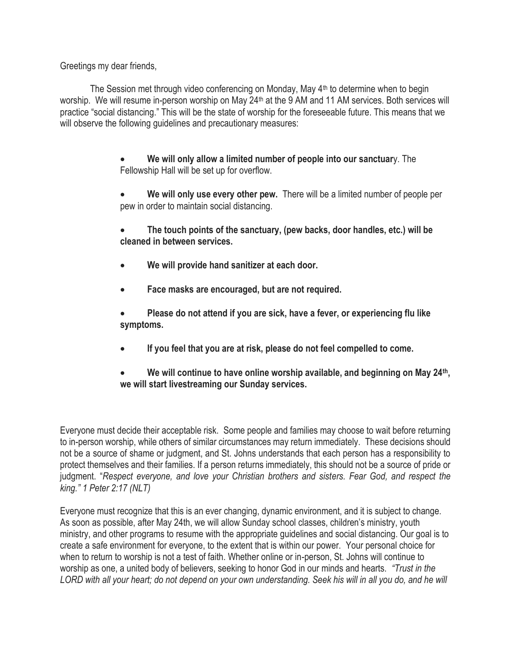Greetings my dear friends,

The Session met through video conferencing on Monday, May 4<sup>th</sup> to determine when to begin worship. We will resume in-person worship on May 24<sup>th</sup> at the 9 AM and 11 AM services. Both services will practice "social distancing." This will be the state of worship for the foreseeable future. This means that we will observe the following guidelines and precautionary measures:

> • **We will only allow a limited number of people into our sanctuar**y. The Fellowship Hall will be set up for overflow.

• **We will only use every other pew.** There will be a limited number of people per pew in order to maintain social distancing.

• **The touch points of the sanctuary, (pew backs, door handles, etc.) will be cleaned in between services.**

- **We will provide hand sanitizer at each door.**
- **Face masks are encouraged, but are not required.**

• **Please do not attend if you are sick, have a fever, or experiencing flu like symptoms.**

• **If you feel that you are at risk, please do not feel compelled to come.**

• **We will continue to have online worship available, and beginning on May 24th, we will start livestreaming our Sunday services.**

Everyone must decide their acceptable risk. Some people and families may choose to wait before returning to in-person worship, while others of similar circumstances may return immediately. These decisions should not be a source of shame or judgment, and St. Johns understands that each person has a responsibility to protect themselves and their families. If a person returns immediately, this should not be a source of pride or judgment. "*Respect everyone, and love your Christian brothers and sisters. Fear God, and respect the king." 1 Peter 2:17 (NLT)*

Everyone must recognize that this is an ever changing, dynamic environment, and it is subject to change. As soon as possible, after May 24th, we will allow Sunday school classes, children's ministry, youth ministry, and other programs to resume with the appropriate guidelines and social distancing. Our goal is to create a safe environment for everyone, to the extent that is within our power. Your personal choice for when to return to worship is not a test of faith. Whether online or in-person, St. Johns will continue to worship as one, a united body of believers, seeking to honor God in our minds and hearts. *"Trust in the LORD with all your heart; do not depend on your own understanding. Seek his will in all you do, and he will*